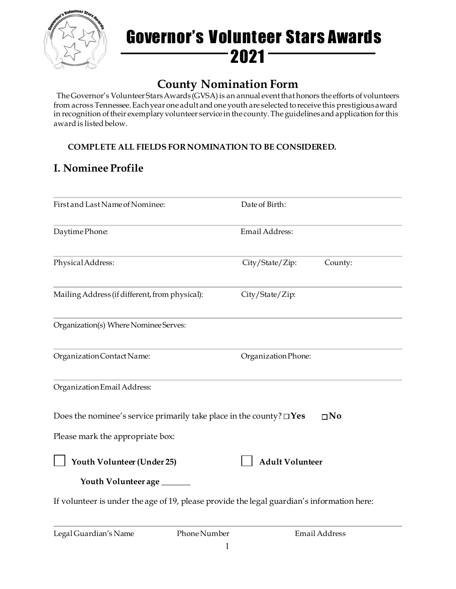

## Governor's Volunteer Stars Awards  $-2021$   $-$

## **County Nomination Form**

The Governor's Volunteer Stars Awards (GVSA) is an annual event that honors the efforts of volunteers from across Tennessee. Each year one adult and one youth are selected to receive this prestigious award in recognition of their exemplary volunteer service in the county. The guidelines and application for this award is listed below.

#### **COMPLETE ALL FIELDS FOR NOMINATION TO BE CONSIDERED.**

### **I. Nominee Profile**

| First and Last Name of Nominee:                                                                                  | Date of Birth:             |
|------------------------------------------------------------------------------------------------------------------|----------------------------|
| Daytime Phone:                                                                                                   | Email Address:             |
| Physical Address:                                                                                                | City/State/Zip:<br>County: |
| Mailing Address (if different, from physical):                                                                   | City/State/Zip:            |
| Organization(s) Where Nominee Serves:                                                                            |                            |
| Organization Contact Name:                                                                                       | Organization Phone:        |
| Organization Email Address:                                                                                      |                            |
| Does the nominee's service primarily take place in the county? $\square$ Yes<br>Please mark the appropriate box: | $\square$ No               |
| Youth Volunteer (Under 25)                                                                                       | <b>Adult Volunteer</b>     |
| Youth Volunteer age ______                                                                                       |                            |
| If volunteer is under the age of 19, please provide the legal guardian's information here:                       |                            |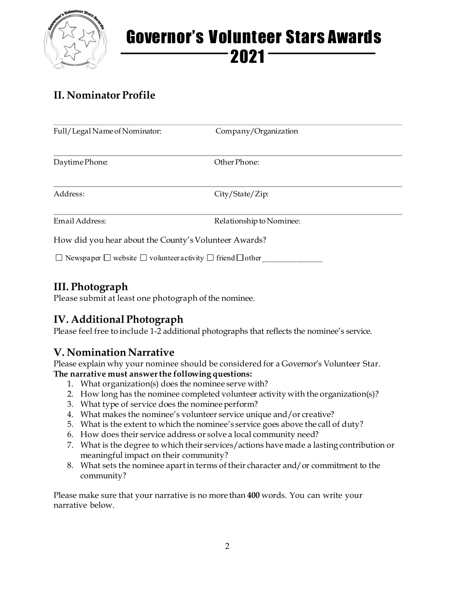

# Governor's Volunteer Stars Awards  $2021 -$

## **II. Nominator Profile**

| Full/Legal Name of Nominator:                         | Company/Organization     |  |
|-------------------------------------------------------|--------------------------|--|
| Daytime Phone:                                        | Other Phone:             |  |
| Address:                                              | City/State/Zip:          |  |
| Email Address:                                        | Relationship to Nominee: |  |
| How did you hear about the County's Volunteer Awards? |                          |  |

 $\Box$  Newspaper  $\Box$  website  $\Box$  volunteer activity  $\Box$  friend  $\Box$  other

### **III. Photograph**

Please submit at least one photograph of the nominee.

### **IV. Additional Photograph**

Please feel free to include 1-2 additional photographs that reflects the nominee's service.

### **V. Nomination Narrative**

Please explain why your nominee should be considered for a Governor's Volunteer Star. **The narrative must answer the following questions:**

- 1. What organization(s) does the nominee serve with?
- 2. How long has the nominee completed volunteer activity with the organization(s)?
- 3. What type of service does the nominee perform?
- 4. What makes the nominee's volunteer service unique and/or creative?
- 5. What is the extent to which the nominee's service goes above the call of duty?
- 6. How does their service address or solve a local community need?
- 7. What is the degree to which their services/actions have made a lasting contribution or meaningful impact on their community?
- 8. What sets the nominee apart in terms of their character and/or commitment to the community?

Please make sure that your narrative is no more than **400** words. You can write your narrative below.